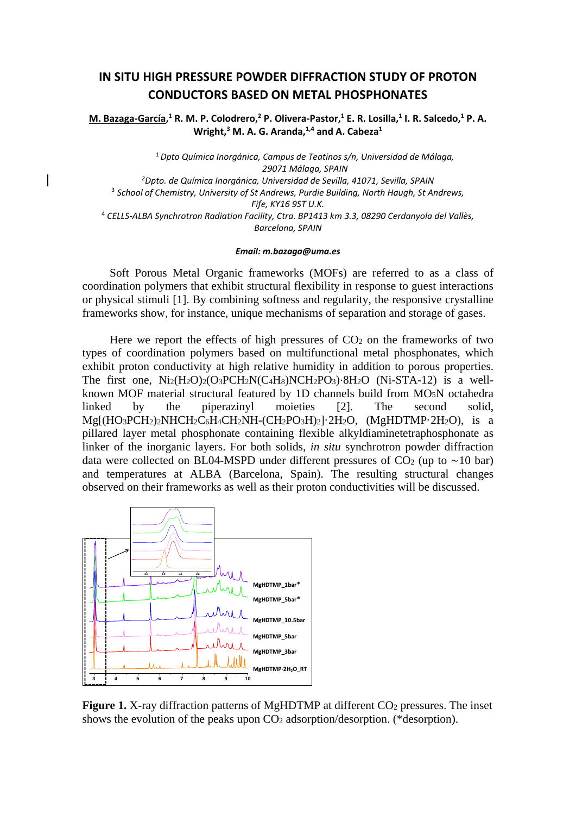## **IN SITU HIGH PRESSURE POWDER DIFFRACTION STUDY OF PROTON CONDUCTORS BASED ON METAL PHOSPHONATES**

M. Bazaga-García,<sup>1</sup> R. M. P. Colodrero,<sup>2</sup> P. Olivera-Pastor,<sup>1</sup> E. R. Losilla,<sup>1</sup> I. R. Salcedo,<sup>1</sup> P. A. **Wright,3 M. A. G. Aranda,1,4 and A. Cabeza1**

*Dpto Química Inorgánica, Campus de Teatinos s/n, Universidad de Málaga, Málaga, SPAIN Dpto. de Química Inorgánica, Universidad de Sevilla, 41071, Sevilla, SPAIN School of Chemistry, Uni*v*ersity of St Andrews, Purdie Building, North Haugh, St Andrews, Fife, KY16 9ST U.K.*

<sup>4</sup> *CELLS‐ALBA Synchrotron Radiation Facility, Ctra. BP1413 km 3.3, 08290 Cerdanyola del Vallès, Barcelona, SPAIN*

## *Email: m.bazaga@uma.es*

Soft Porous Metal Organic frameworks (MOFs) are referred to as a class of coordination polymers that exhibit structural flexibility in response to guest interactions or physical stimuli [1]. By combining softness and regularity, the responsive crystalline frameworks show, for instance, unique mechanisms of separation and storage of gases.

Here we report the effects of high pressures of  $CO<sub>2</sub>$  on the frameworks of two types of coordination polymers based on multifunctional metal phosphonates, which exhibit proton conductivity at high relative humidity in addition to porous properties. The first one,  $Ni_2(H_2O)_2(O_3PCH_2N(C_4H_8)NCH_2PO_3)·8H_2O$  (Ni-STA-12) is a wellknown MOF material structural featured by 1D channels build from MO5N octahedra linked by the piperazinyl moieties [2]. The second solid,  $Mg[(HO_3PCH_2)_2NHCH_2C_6H_4CH_2NH-(CH_2PO_3H)_2]\cdot 2H_2O$ ,  $(MgHDTMP\cdot 2H_2O)$ , is a pillared layer metal phosphonate containing flexible alkyldiaminetetraphosphonate as linker of the inorganic layers. For both solids, *in situ* synchrotron powder diffraction data were collected on BL04-MSPD under different pressures of  $CO<sub>2</sub>$  (up to  $\sim$ 10 bar) and temperatures at ALBA (Barcelona, Spain). The resulting structural changes observed on their frameworks as well as their proton conductivities will be discussed.



**Figure 1.** X-ray diffraction patterns of MgHDTMP at different CO<sub>2</sub> pressures. The inset shows the evolution of the peaks upon CO2 adsorption/desorption. (\*desorption).